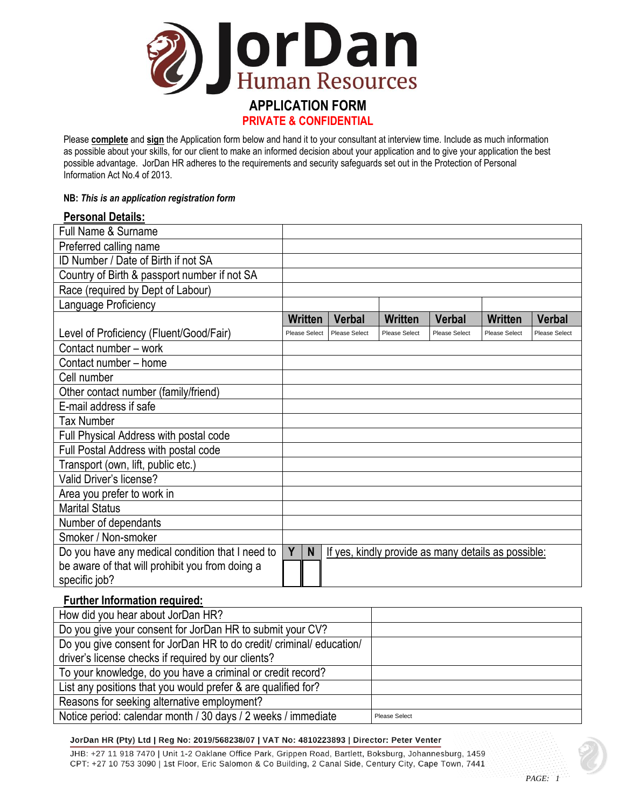

Please **complete** and **sign** the Application form below and hand it to your consultant at interview time. Include as much information as possible about your skills, for our client to make an informed decision about your application and to give your application the best possible advantage. JorDan HR adheres to the requirements and security safeguards set out in the Protection of Personal Information Act No.4 of 2013.

### **NB:** *This is an application registration form*

### **Personal Details:**

| <b>Full Name &amp; Surname</b>                   |                |   |                      |                      |                                                     |                      |                      |
|--------------------------------------------------|----------------|---|----------------------|----------------------|-----------------------------------------------------|----------------------|----------------------|
| Preferred calling name                           |                |   |                      |                      |                                                     |                      |                      |
| ID Number / Date of Birth if not SA              |                |   |                      |                      |                                                     |                      |                      |
| Country of Birth & passport number if not SA     |                |   |                      |                      |                                                     |                      |                      |
| Race (required by Dept of Labour)                |                |   |                      |                      |                                                     |                      |                      |
| Language Proficiency                             |                |   |                      |                      |                                                     |                      |                      |
|                                                  | <b>Written</b> |   | Verbal               | <b>Written</b>       | <b>Verbal</b>                                       | <b>Written</b>       | Verbal               |
| Level of Proficiency (Fluent/Good/Fair)          | Please Select  |   | <b>Please Select</b> | <b>Please Select</b> | <b>Please Select</b>                                | <b>Please Select</b> | <b>Please Select</b> |
| Contact number - work                            |                |   |                      |                      |                                                     |                      |                      |
| Contact number - home                            |                |   |                      |                      |                                                     |                      |                      |
| Cell number                                      |                |   |                      |                      |                                                     |                      |                      |
| Other contact number (family/friend)             |                |   |                      |                      |                                                     |                      |                      |
| E-mail address if safe                           |                |   |                      |                      |                                                     |                      |                      |
| Tax Number                                       |                |   |                      |                      |                                                     |                      |                      |
| Full Physical Address with postal code           |                |   |                      |                      |                                                     |                      |                      |
| Full Postal Address with postal code             |                |   |                      |                      |                                                     |                      |                      |
| Transport (own, lift, public etc.)               |                |   |                      |                      |                                                     |                      |                      |
| Valid Driver's license?                          |                |   |                      |                      |                                                     |                      |                      |
| Area you prefer to work in                       |                |   |                      |                      |                                                     |                      |                      |
| <b>Marital Status</b>                            |                |   |                      |                      |                                                     |                      |                      |
| Number of dependants                             |                |   |                      |                      |                                                     |                      |                      |
| Smoker / Non-smoker                              |                |   |                      |                      |                                                     |                      |                      |
| Do you have any medical condition that I need to | Y              | N |                      |                      | If yes, kindly provide as many details as possible: |                      |                      |
| be aware of that will prohibit you from doing a  |                |   |                      |                      |                                                     |                      |                      |
| specific job?                                    |                |   |                      |                      |                                                     |                      |                      |

# **Further Information required:**

| How did you hear about JorDan HR?                                    |               |
|----------------------------------------------------------------------|---------------|
| Do you give your consent for JorDan HR to submit your CV?            |               |
| Do you give consent for JorDan HR to do credit/ criminal/ education/ |               |
| driver's license checks if required by our clients?                  |               |
| To your knowledge, do you have a criminal or credit record?          |               |
| List any positions that you would prefer & are qualified for?        |               |
| Reasons for seeking alternative employment?                          |               |
| Notice period: calendar month / 30 days / 2 weeks / immediate        | Please Select |

#### JorDan HR (Pty) Ltd | Reg No: 2019/568238/07 | VAT No: 4810223893 | Director: Peter Venter

JHB: +27 11 918 7470 | Unit 1-2 Oaklane Office Park, Grippen Road, Bartlett, Boksburg, Johannesburg, 1459 CPT: +27 10 753 3090 | 1st Floor, Eric Salomon & Co Building, 2 Canal Side, Century City, Cape Town, 7441

*PAGE: 1*